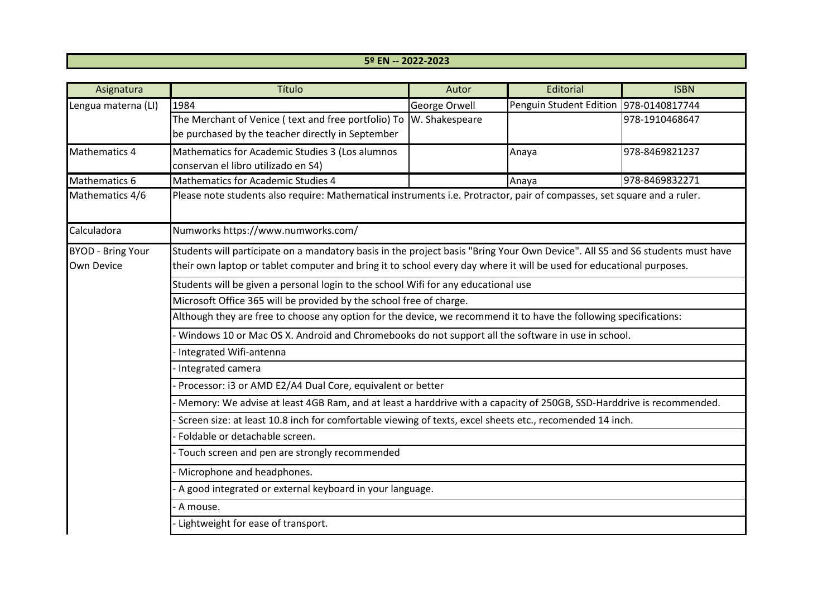## **5º EN -- 2022-2023**

| Asignatura               | Título                                                                                                                        | Autor          | Editorial                                | <b>ISBN</b>    |  |
|--------------------------|-------------------------------------------------------------------------------------------------------------------------------|----------------|------------------------------------------|----------------|--|
| Lengua materna (LI)      | 1984                                                                                                                          | George Orwell  | Penguin Student Edition   978-0140817744 |                |  |
|                          | The Merchant of Venice (text and free portfolio) To                                                                           | W. Shakespeare |                                          | 978-1910468647 |  |
|                          | be purchased by the teacher directly in September                                                                             |                |                                          |                |  |
| Mathematics 4            | Mathematics for Academic Studies 3 (Los alumnos                                                                               |                | Anaya                                    | 978-8469821237 |  |
|                          | conservan el libro utilizado en S4)                                                                                           |                |                                          |                |  |
| Mathematics 6            | Mathematics for Academic Studies 4                                                                                            |                | Anaya                                    | 978-8469832271 |  |
| Mathematics 4/6          | Please note students also require: Mathematical instruments i.e. Protractor, pair of compasses, set square and a ruler.       |                |                                          |                |  |
| Calculadora              | Numworks https://www.numworks.com/                                                                                            |                |                                          |                |  |
| <b>BYOD - Bring Your</b> | Students will participate on a mandatory basis in the project basis "Bring Your Own Device". All S5 and S6 students must have |                |                                          |                |  |
| Own Device               | their own laptop or tablet computer and bring it to school every day where it will be used for educational purposes.          |                |                                          |                |  |
|                          | Students will be given a personal login to the school Wifi for any educational use                                            |                |                                          |                |  |
|                          | Microsoft Office 365 will be provided by the school free of charge.                                                           |                |                                          |                |  |
|                          | Although they are free to choose any option for the device, we recommend it to have the following specifications:             |                |                                          |                |  |
|                          | Windows 10 or Mac OS X. Android and Chromebooks do not support all the software in use in school.                             |                |                                          |                |  |
|                          | Integrated Wifi-antenna                                                                                                       |                |                                          |                |  |
|                          | Integrated camera                                                                                                             |                |                                          |                |  |
|                          | Processor: i3 or AMD E2/A4 Dual Core, equivalent or better                                                                    |                |                                          |                |  |
|                          | Memory: We advise at least 4GB Ram, and at least a harddrive with a capacity of 250GB, SSD-Harddrive is recommended.          |                |                                          |                |  |
|                          | Screen size: at least 10.8 inch for comfortable viewing of texts, excel sheets etc., recomended 14 inch.                      |                |                                          |                |  |
|                          | Foldable or detachable screen.                                                                                                |                |                                          |                |  |
|                          | Touch screen and pen are strongly recommended                                                                                 |                |                                          |                |  |
|                          | Microphone and headphones.                                                                                                    |                |                                          |                |  |
|                          | A good integrated or external keyboard in your language.                                                                      |                |                                          |                |  |
|                          | A mouse.                                                                                                                      |                |                                          |                |  |
|                          | Lightweight for ease of transport.                                                                                            |                |                                          |                |  |